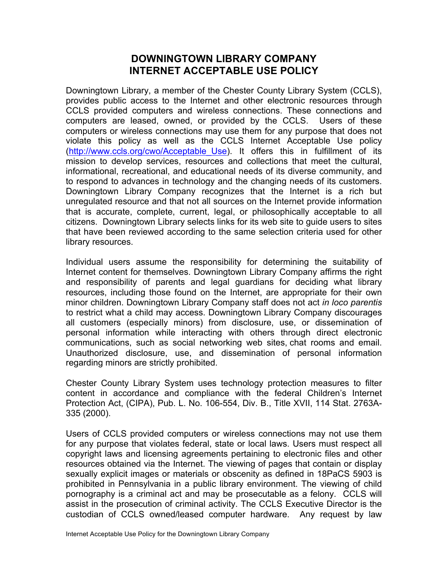## **DOWNINGTOWN LIBRARY COMPANY INTERNET ACCEPTABLE USE POLICY**

Downingtown Library, a member of the Chester County Library System (CCLS), provides public access to the Internet and other electronic resources through CCLS provided computers and wireless connections. These connections and computers are leased, owned, or provided by the CCLS. Users of these computers or wireless connections may use them for any purpose that does not violate this policy as well as the CCLS Internet Acceptable Use policy (http://www.ccls.org/cwo/Acceptable\_Use). It offers this in fulfillment of its mission to develop services, resources and collections that meet the cultural, informational, recreational, and educational needs of its diverse community, and to respond to advances in technology and the changing needs of its customers. Downingtown Library Company recognizes that the Internet is a rich but unregulated resource and that not all sources on the Internet provide information that is accurate, complete, current, legal, or philosophically acceptable to all citizens. Downingtown Library selects links for its web site to guide users to sites that have been reviewed according to the same selection criteria used for other library resources.

Individual users assume the responsibility for determining the suitability of Internet content for themselves. Downingtown Library Company affirms the right and responsibility of parents and legal guardians for deciding what library resources, including those found on the Internet, are appropriate for their own minor children. Downingtown Library Company staff does not act *in loco parentis* to restrict what a child may access. Downingtown Library Company discourages all customers (especially minors) from disclosure, use, or dissemination of personal information while interacting with others through direct electronic communications, such as social networking web sites, chat rooms and email. Unauthorized disclosure, use, and dissemination of personal information regarding minors are strictly prohibited.

Chester County Library System uses technology protection measures to filter content in accordance and compliance with the federal Children's Internet Protection Act, (CIPA), Pub. L. No. 106-554, Div. B., Title XVII, 114 Stat. 2763A-335 (2000).

Users of CCLS provided computers or wireless connections may not use them for any purpose that violates federal, state or local laws. Users must respect all copyright laws and licensing agreements pertaining to electronic files and other resources obtained via the Internet. The viewing of pages that contain or display sexually explicit images or materials or obscenity as defined in 18PaCS 5903 is prohibited in Pennsylvania in a public library environment. The viewing of child pornography is a criminal act and may be prosecutable as a felony. CCLS will assist in the prosecution of criminal activity. The CCLS Executive Director is the custodian of CCLS owned/leased computer hardware. Any request by law